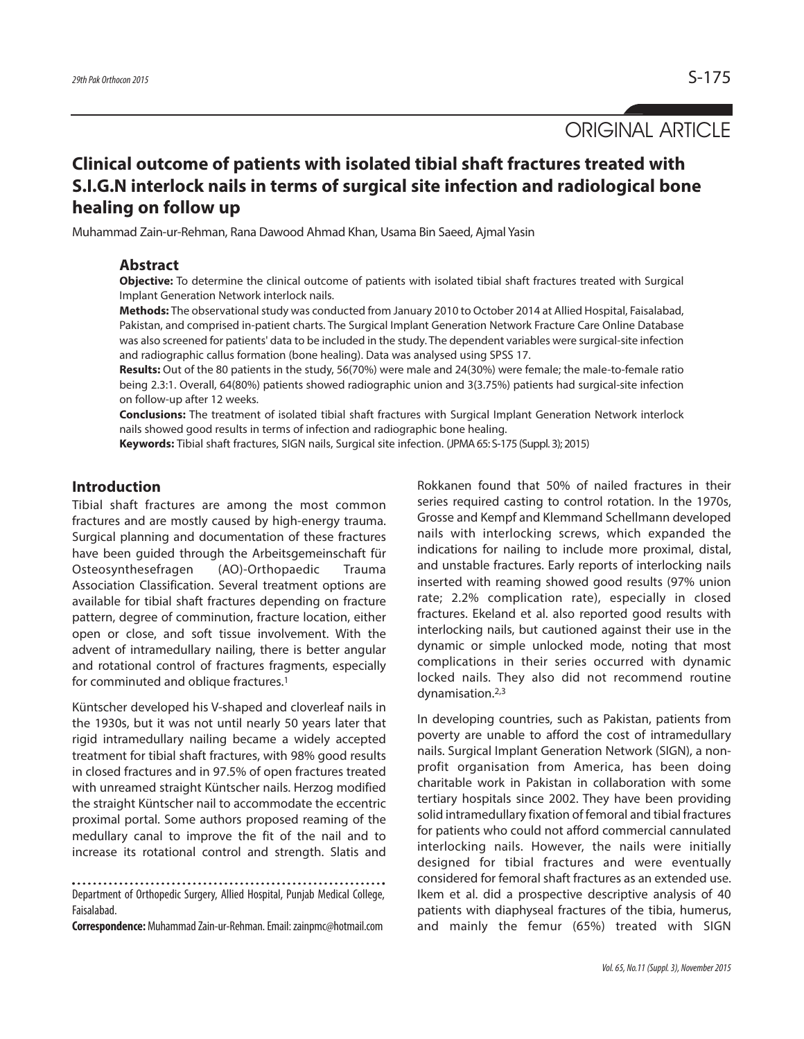ORIGINAL ARTICLE

# **Clinical outcome of patients with isolated tibial shaft fractures treated with S.I.G.N interlock nails in terms of surgical site infection and radiological bone healing on follow up**

Muhammad Zain-ur-Rehman, Rana Dawood Ahmad Khan, Usama Bin Saeed, Ajmal Yasin

#### **Abstract**

**Objective:** To determine the clinical outcome of patients with isolated tibial shaft fractures treated with Surgical Implant Generation Network interlock nails.

**Methods:** The observationalstudy was conducted from January 2010 to October 2014 at Allied Hospital, Faisalabad, Pakistan, and comprised in-patient charts. The Surgical Implant Generation Network Fracture Care Online Database was also screened for patients' data to be included in the study. The dependent variables were surgical-site infection and radiographic callus formation (bone healing). Data was analysed using SPSS 17.

**Results:** Out of the 80 patients in the study, 56(70%) were male and 24(30%) were female; the male-to-female ratio being 2.3:1. Overall, 64(80%) patients showed radiographic union and 3(3.75%) patients had surgical-site infection on follow-up after 12 weeks.

**Conclusions:** The treatment of isolated tibial shaft fractures with Surgical Implant Generation Network interlock nails showed good results in terms of infection and radiographic bone healing.

**Keywords:** Tibial shaft fractures, SIGN nails, Surgical site infection. (JPMA65: S-175 (Suppl. 3); 2015)

# **Introduction**

Tibial shaft fractures are among the most common fractures and are mostly caused by high-energy trauma. Surgical planning and documentation of these fractures have been guided through the Arbeitsgemeinschaft für Osteosynthesefragen (AO)-Orthopaedic Trauma Association Classification. Several treatment options are available for tibial shaft fractures depending on fracture pattern, degree of comminution, fracture location, either open or close, and soft tissue involvement. With the advent of intramedullary nailing, there is better angular and rotational control of fractures fragments, especially for comminuted and oblique fractures. 1

Küntscher developed his V-shaped and cloverleaf nails in the 1930s, but it was not until nearly 50 years later that rigid intramedullary nailing became a widely accepted treatment for tibial shaft fractures, with 98% good results in closed fractures and in 97.5% of open fractures treated with unreamed straight Küntscher nails. Herzog modified the straight Küntscher nail to accommodate the eccentric proximal portal. Some authors proposed reaming of the medullary canal to improve the fit of the nail and to increase its rotational control and strength. Slatis and

Department of Orthopedic Surgery, Allied Hospital, Punjab Medical College, Faisalabad.

**Correspondence:**MuhammadZain-ur-Rehman.Email:zainpmc@hotmail.com

Rokkanen found that 50% of nailed fractures in their series required casting to control rotation. In the 1970s, Grosse and Kempf and Klemmand Schellmann developed nails with interlocking screws, which expanded the indications for nailing to include more proximal, distal, and unstable fractures. Early reports of interlocking nails inserted with reaming showed good results (97% union rate; 2.2% complication rate), especially in closed fractures. Ekeland et al. also reported good results with interlocking nails, but cautioned against their use in the dynamic or simple unlocked mode, noting that most complications in their series occurred with dynamic locked nails. They also did not recommend routine dynamisation. 2,3

In developing countries, such as Pakistan, patients from poverty are unable to afford the cost of intramedullary nails. Surgical Implant Generation Network (SIGN), a nonprofit organisation from America, has been doing charitable work in Pakistan in collaboration with some tertiary hospitals since 2002. They have been providing solid intramedullary fixation of femoral and tibial fractures for patients who could not afford commercial cannulated interlocking nails. However, the nails were initially designed for tibial fractures and were eventually considered for femoral shaft fractures as an extended use. Ikem et al. did a prospective descriptive analysis of 40 patients with diaphyseal fractures of the tibia, humerus, and mainly the femur (65%) treated with SIGN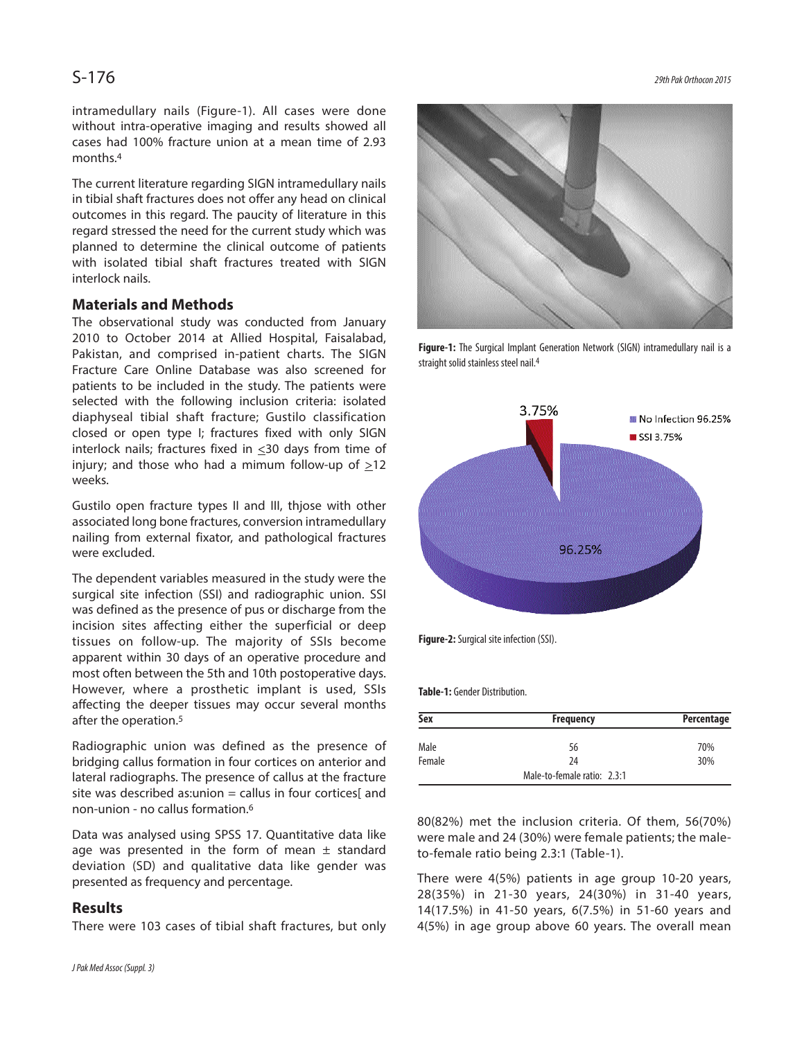intramedullary nails (Figure-1). All cases were done without intra-operative imaging and results showed all cases had 100% fracture union at a mean time of 2.93 months. 4

The current literature regarding SIGN intramedullary nails in tibial shaft fractures does not offer any head on clinical outcomes in this regard. The paucity of literature in this regard stressed the need for the current study which was planned to determine the clinical outcome of patients with isolated tibial shaft fractures treated with SIGN interlock nails.

### **Materials and Methods**

The observational study was conducted from January 2010 to October 2014 at Allied Hospital, Faisalabad, Pakistan, and comprised in-patient charts. The SIGN Fracture Care Online Database was also screened for patients to be included in the study. The patients were selected with the following inclusion criteria: isolated diaphyseal tibial shaft fracture; Gustilo classification closed or open type I; fractures fixed with only SIGN interlock nails; fractures fixed in  $\leq$ 30 days from time of injury; and those who had a mimum follow-up of  $\geq 12$ weeks.

Gustilo open fracture types II and III, thjose with other associated long bone fractures, conversion intramedullary nailing from external fixator, and pathological fractures were excluded.

The dependent variables measured in the study were the surgical site infection (SSI) and radiographic union. SSI was defined as the presence of pus or discharge from the incision sites affecting either the superficial or deep tissues on follow-up. The majority of SSIs become apparent within 30 days of an operative procedure and most often between the 5th and 10th postoperative days. However, where a prosthetic implant is used, SSIs affecting the deeper tissues may occur several months after the operation. 5

Radiographic union was defined as the presence of bridging callus formation in four cortices on anterior and lateral radiographs. The presence of callus at the fracture site was described as: union  $=$  callus in four cortices[ and non-union - no callus formation. 6

Data was analysed using SPSS 17. Quantitative data like age was presented in the form of mean  $\pm$  standard deviation (SD) and qualitative data like gender was presented as frequency and percentage.

# **Results**

There were 103 cases of tibial shaft fractures, but only



**Figure-1:** The Surgical Implant Generation Network (SIGN) intramedullary nail is a straight solid stainless steel nail.<sup>4</sup>



**Figure-2:** Surgical site infection (SSI).

**Table-1:** Gender Distribution.

| Sex    | <b>Frequency</b>            | Percentage |
|--------|-----------------------------|------------|
| Male   | 56                          | 70%        |
| Female | 24                          | 30%        |
|        | Male-to-female ratio: 2.3:1 |            |

80(82%) met the inclusion criteria. Of them, 56(70%) were male and 24 (30%) were female patients; the maleto-female ratio being 2.3:1 (Table-1).

There were 4(5%) patients in age group 10-20 years, 28(35%) in 21-30 years, 24(30%) in 31-40 years, 14(17.5%) in 41-50 years, 6(7.5%) in 51-60 years and 4(5%) in age group above 60 years. The overall mean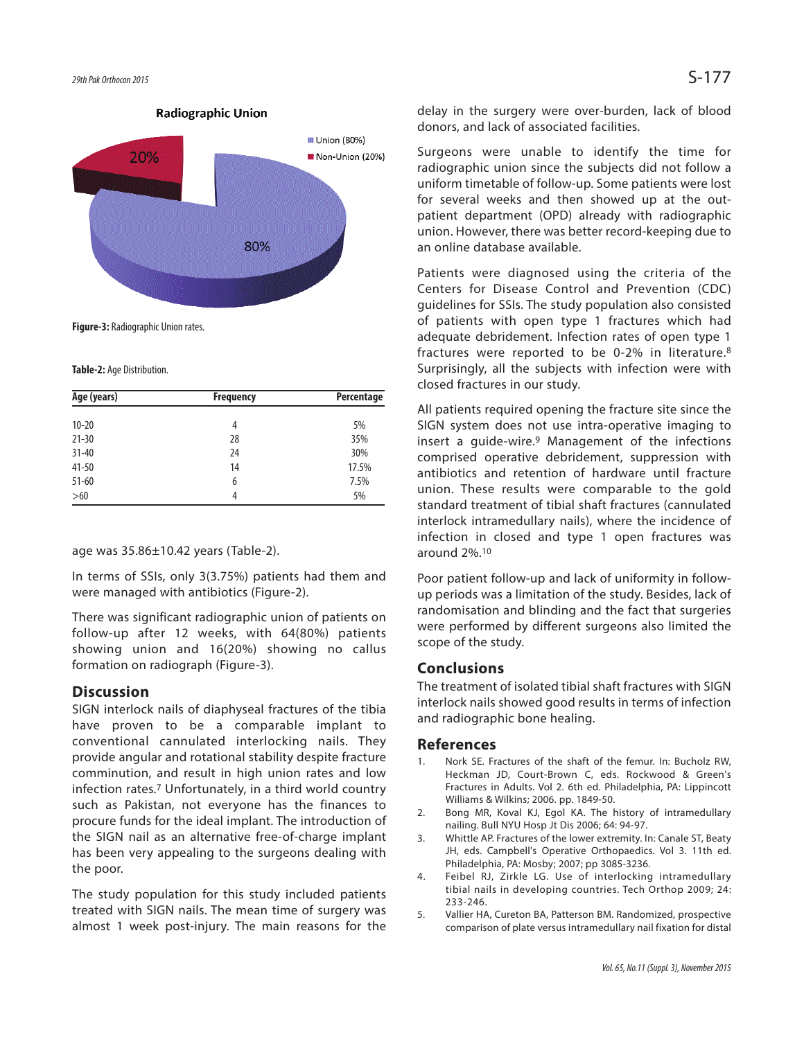

**Figure-3:** Radiographic Union rates.

**Table-2:** Age Distribution.

| Age (years) | <b>Frequency</b> | Percentage |
|-------------|------------------|------------|
|             |                  |            |
| $10 - 20$   | 4                | 5%         |
| $21 - 30$   | 28               | 35%        |
| $31 - 40$   | 24               | 30%        |
| $41 - 50$   | 14               | 17.5%      |
| $51 - 60$   | 6                | 7.5%       |
| $>60$       | 4                | 5%         |

age was 35.86±10.42 years (Table-2).

In terms of SSIs, only 3(3.75%) patients had them and were managed with antibiotics (Figure-2).

There was significant radiographic union of patients on follow-up after 12 weeks, with 64(80%) patients showing union and 16(20%) showing no callus formation on radiograph (Figure-3).

#### **Discussion**

SIGN interlock nails of diaphyseal fractures of the tibia have proven to be a comparable implant to conventional cannulated interlocking nails. They provide angular and rotational stability despite fracture comminution, and result in high union rates and low infection rates. <sup>7</sup> Unfortunately, in a third world country such as Pakistan, not everyone has the finances to procure funds for the ideal implant. The introduction of the SIGN nail as an alternative free-of-charge implant has been very appealing to the surgeons dealing with the poor.

The study population for this study included patients treated with SIGN nails. The mean time of surgery was almost 1 week post-injury. The main reasons for the delay in the surgery were over-burden, lack of blood donors, and lack of associated facilities.

Surgeons were unable to identify the time for radiographic union since the subjects did not follow a uniform timetable of follow-up. Some patients were lost for several weeks and then showed up at the outpatient department (OPD) already with radiographic union. However, there was better record-keeping due to an online database available.

Patients were diagnosed using the criteria of the Centers for Disease Control and Prevention (CDC) guidelines for SSIs. The study population also consisted of patients with open type 1 fractures which had adequate debridement. Infection rates of open type 1 fractures were reported to be 0-2% in literature.8 Surprisingly, all the subjects with infection were with closed fractures in our study.

All patients required opening the fracture site since the SIGN system does not use intra-operative imaging to insert a guide-wire. <sup>9</sup> Management of the infections comprised operative debridement, suppression with antibiotics and retention of hardware until fracture union. These results were comparable to the gold standard treatment of tibial shaft fractures (cannulated interlock intramedullary nails), where the incidence of infection in closed and type 1 open fractures was around 2%. 10

Poor patient follow-up and lack of uniformity in followup periods was a limitation of the study. Besides, lack of randomisation and blinding and the fact that surgeries were performed by different surgeons also limited the scope of the study.

# **Conclusions**

The treatment of isolated tibial shaft fractures with SIGN interlock nails showed good results in terms of infection and radiographic bone healing.

#### **References**

- Nork SE. Fractures of the shaft of the femur. In: Bucholz RW, Heckman JD, Court-Brown C, eds. Rockwood & Green's Fractures in Adults. Vol 2. 6th ed. Philadelphia, PA: Lippincott Williams & Wilkins; 2006. pp. 1849-50.
- 2. Bong MR, Koval KJ, Egol KA. The history of intramedullary nailing. Bull NYU Hosp Jt Dis 2006; 64: 94-97.
- 3. Whittle AP. Fractures of the lower extremity. In: Canale ST, Beaty JH, eds. Campbell's Operative Orthopaedics. Vol 3. 11th ed. Philadelphia, PA: Mosby; 2007; pp 3085-3236.
- 4. Feibel RJ, Zirkle LG. Use of interlocking intramedullary tibial nails in developing countries. Tech Orthop 2009; 24: 233-246.
- 5. Vallier HA, Cureton BA, Patterson BM. Randomized, prospective comparison of plate versus intramedullary nail fixation for distal